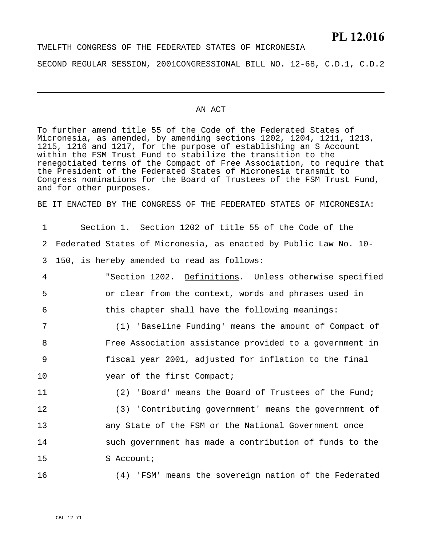# **PL 12.016**

# TWELFTH CONGRESS OF THE FEDERATED STATES OF MICRONESIA SECOND REGULAR SESSION, 2001CONGRESSIONAL BILL NO. 12-68, C.D.1, C.D.2

#### AN ACT

To further amend title 55 of the Code of the Federated States of Micronesia, as amended, by amending sections 1202, 1204, 1211, 1213, 1215, 1216 and 1217, for the purpose of establishing an S Account within the FSM Trust Fund to stabilize the transition to the renegotiated terms of the Compact of Free Association, to require that the President of the Federated States of Micronesia transmit to Congress nominations for the Board of Trustees of the FSM Trust Fund, and for other purposes.

BE IT ENACTED BY THE CONGRESS OF THE FEDERATED STATES OF MICRONESIA:

| 1  | Section 1. Section 1202 of title 55 of the Code of the           |
|----|------------------------------------------------------------------|
| 2  | Federated States of Micronesia, as enacted by Public Law No. 10- |
| 3  | 150, is hereby amended to read as follows:                       |
| 4  | "Section 1202. Definitions. Unless otherwise specified           |
| 5  | or clear from the context, words and phrases used in             |
| 6  | this chapter shall have the following meanings:                  |
| 7  | (1) 'Baseline Funding' means the amount of Compact of            |
| 8  | Free Association assistance provided to a government in          |
| 9  | fiscal year 2001, adjusted for inflation to the final            |
| 10 | year of the first Compact;                                       |
| 11 | (2) 'Board' means the Board of Trustees of the Fund;             |
| 12 | (3) 'Contributing government' means the government of            |
| 13 | any State of the FSM or the National Government once             |
| 14 | such government has made a contribution of funds to the          |
| 15 | S Account;                                                       |
| 16 | (4) 'FSM' means the sovereign nation of the Federated            |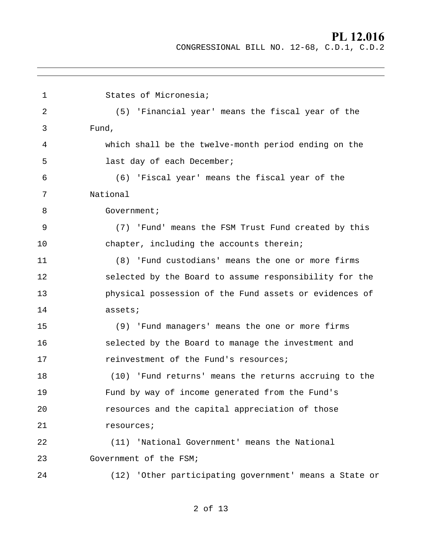# **PL 12.016**

CONGRESSIONAL BILL NO. 12-68, C.D.1, C.D.2

| 1  | States of Micronesia;                                  |  |
|----|--------------------------------------------------------|--|
| 2  | (5) 'Financial year' means the fiscal year of the      |  |
| 3  | Fund,                                                  |  |
| 4  | which shall be the twelve-month period ending on the   |  |
| 5  | last day of each December;                             |  |
| 6  | (6) 'Fiscal year' means the fiscal year of the         |  |
| 7  | National                                               |  |
| 8  | Government;                                            |  |
| 9  | (7) 'Fund' means the FSM Trust Fund created by this    |  |
| 10 | chapter, including the accounts therein;               |  |
| 11 | (8) 'Fund custodians' means the one or more firms      |  |
| 12 | selected by the Board to assume responsibility for the |  |
| 13 | physical possession of the Fund assets or evidences of |  |
| 14 | assets;                                                |  |
| 15 | (9) 'Fund managers' means the one or more firms        |  |
| 16 | selected by the Board to manage the investment and     |  |
| 17 | reinvestment of the Fund's resources;                  |  |
| 18 | (10) 'Fund returns' means the returns accruing to the  |  |
| 19 | Fund by way of income generated from the Fund's        |  |
| 20 | resources and the capital appreciation of those        |  |
| 21 | resources;                                             |  |
| 22 | (11) 'National Government' means the National          |  |
| 23 | Government of the FSM;                                 |  |
| 24 | (12) 'Other participating government' means a State or |  |
|    |                                                        |  |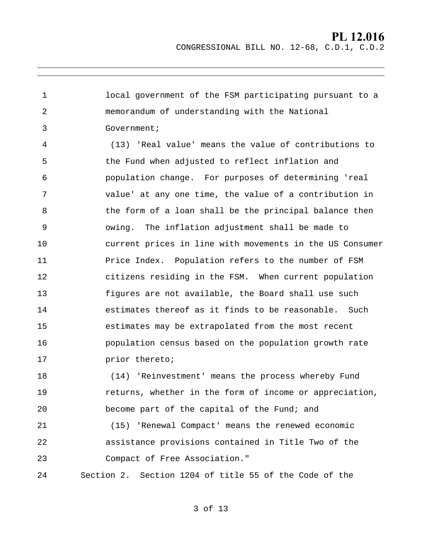1 2 3 4 5 6 7 8 9 10 11 12 13 14 15 16 17 18 19 20 local government of the FSM participating pursuant to a memorandum of understanding with the National Government; (13) 'Real value' means the value of contributions to the Fund when adjusted to reflect inflation and population change. For purposes of determining 'real value' at any one time, the value of a contribution in the form of a loan shall be the principal balance then owing. The inflation adjustment shall be made to current prices in line with movements in the US Consumer Price Index. Population refers to the number of FSM citizens residing in the FSM. When current population figures are not available, the Board shall use such estimates thereof as it finds to be reasonable. Such estimates may be extrapolated from the most recent population census based on the population growth rate prior thereto; (14) 'Reinvestment' means the process whereby Fund returns, whether in the form of income or appreciation, become part of the capital of the Fund; and

21 22 23 (15) 'Renewal Compact' means the renewed economic assistance provisions contained in Title Two of the Compact of Free Association."

24 Section 2. Section 1204 of title 55 of the Code of the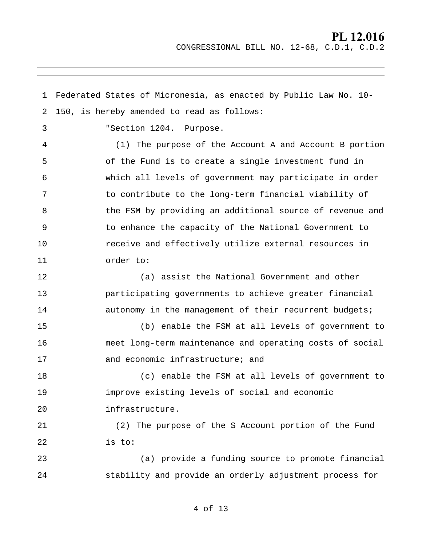1 2 Federated States of Micronesia, as enacted by Public Law No. 10- 150, is hereby amended to read as follows: 3 4 5 6 7 8 9 10 11 12 13 14 15 16 17 18 19 20 21 22 23 24 "Section 1204. Purpose. (1) The purpose of the Account A and Account B portion of the Fund is to create a single investment fund in which all levels of government may participate in order to contribute to the long-term financial viability of the FSM by providing an additional source of revenue and to enhance the capacity of the National Government to receive and effectively utilize external resources in order to: (a) assist the National Government and other participating governments to achieve greater financial autonomy in the management of their recurrent budgets; (b) enable the FSM at all levels of government to meet long-term maintenance and operating costs of social and economic infrastructure; and (c) enable the FSM at all levels of government to improve existing levels of social and economic infrastructure. (2) The purpose of the S Account portion of the Fund is to: (a) provide a funding source to promote financial stability and provide an orderly adjustment process for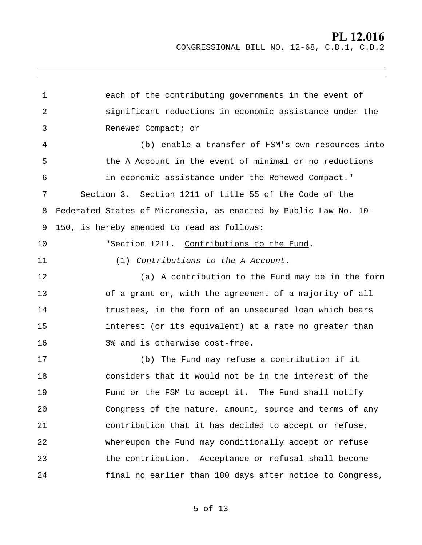1 2 3 4 5 6 7 8 9 each of the contributing governments in the event of significant reductions in economic assistance under the Renewed Compact; or (b) enable a transfer of FSM's own resources into the A Account in the event of minimal or no reductions in economic assistance under the Renewed Compact." Section 3. Section 1211 of title 55 of the Code of the Federated States of Micronesia, as enacted by Public Law No. 10- 150, is hereby amended to read as follows: 10 11 12 13 14 15 16 17 18 19 20 21 22 23 24 "Section 1211. Contributions to the Fund. (1) Contributions to the A Account. (a) A contribution to the Fund may be in the form of a grant or, with the agreement of a majority of all trustees, in the form of an unsecured loan which bears interest (or its equivalent) at a rate no greater than 3% and is otherwise cost-free. (b) The Fund may refuse a contribution if it considers that it would not be in the interest of the Fund or the FSM to accept it. The Fund shall notify Congress of the nature, amount, source and terms of any contribution that it has decided to accept or refuse, whereupon the Fund may conditionally accept or refuse the contribution. Acceptance or refusal shall become final no earlier than 180 days after notice to Congress,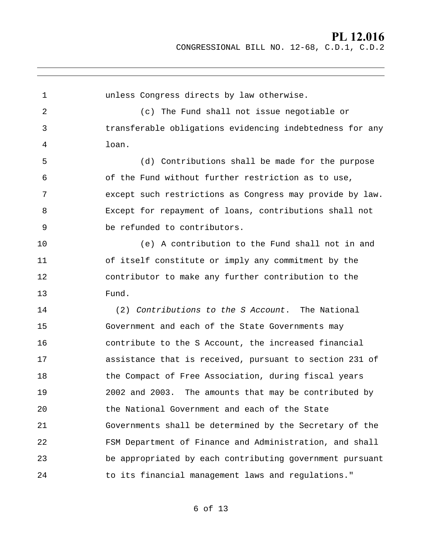1 2 3 4 5 6 7 8 9 10 11 12 13 14 15 16 17 18 19 20 21 22 23 24 unless Congress directs by law otherwise. (c) The Fund shall not issue negotiable or transferable obligations evidencing indebtedness for any loan. (d) Contributions shall be made for the purpose of the Fund without further restriction as to use, except such restrictions as Congress may provide by law. Except for repayment of loans, contributions shall not be refunded to contributors. (e) A contribution to the Fund shall not in and of itself constitute or imply any commitment by the contributor to make any further contribution to the Fund. (2) Contributions to the S Account. The National Government and each of the State Governments may contribute to the S Account, the increased financial assistance that is received, pursuant to section 231 of the Compact of Free Association, during fiscal years 2002 and 2003. The amounts that may be contributed by the National Government and each of the State Governments shall be determined by the Secretary of the FSM Department of Finance and Administration, and shall be appropriated by each contributing government pursuant to its financial management laws and regulations."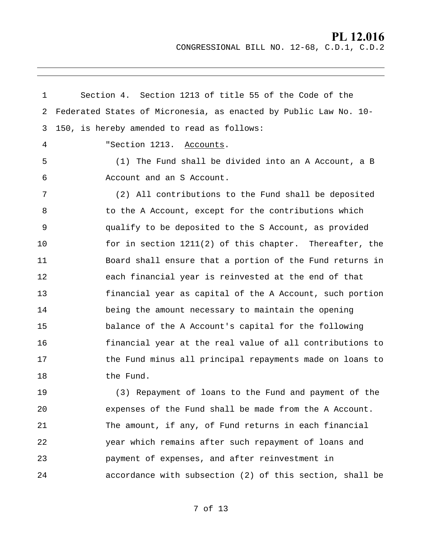1 2 3 Section 4. Section 1213 of title 55 of the Code of the Federated States of Micronesia, as enacted by Public Law No. 10- 150, is hereby amended to read as follows: 4 5 6 7 8 9 10 11 12 13 14 15 16 17 18 19 20 21 22 23 24 "Section 1213. Accounts. (1) The Fund shall be divided into an A Account, a B Account and an S Account. (2) All contributions to the Fund shall be deposited to the A Account, except for the contributions which qualify to be deposited to the S Account, as provided for in section 1211(2) of this chapter. Thereafter, the Board shall ensure that a portion of the Fund returns in each financial year is reinvested at the end of that financial year as capital of the A Account, such portion being the amount necessary to maintain the opening balance of the A Account's capital for the following financial year at the real value of all contributions to the Fund minus all principal repayments made on loans to the Fund. (3) Repayment of loans to the Fund and payment of the expenses of the Fund shall be made from the A Account. The amount, if any, of Fund returns in each financial year which remains after such repayment of loans and payment of expenses, and after reinvestment in accordance with subsection (2) of this section, shall be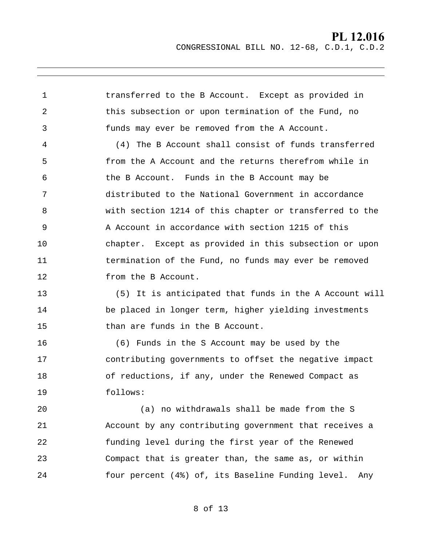1 2 3 transferred to the B Account. Except as provided in this subsection or upon termination of the Fund, no funds may ever be removed from the A Account.

4 5 6 7 8 9 10 11 12 (4) The B Account shall consist of funds transferred from the A Account and the returns therefrom while in the B Account. Funds in the B Account may be distributed to the National Government in accordance with section 1214 of this chapter or transferred to the A Account in accordance with section 1215 of this chapter. Except as provided in this subsection or upon termination of the Fund, no funds may ever be removed from the B Account.

13 14 15 (5) It is anticipated that funds in the A Account will be placed in longer term, higher yielding investments than are funds in the B Account.

16 17 18 19 (6) Funds in the S Account may be used by the contributing governments to offset the negative impact of reductions, if any, under the Renewed Compact as follows:

20 21 22 23 24 (a) no withdrawals shall be made from the S Account by any contributing government that receives a funding level during the first year of the Renewed Compact that is greater than, the same as, or within four percent (4%) of, its Baseline Funding level. Any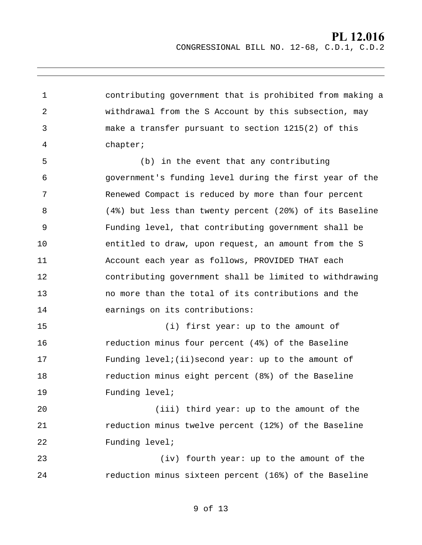1 2 3 4 contributing government that is prohibited from making a withdrawal from the S Account by this subsection, may make a transfer pursuant to section 1215(2) of this chapter;

5 6 7 8 9 10 11 12 13 14 (b) in the event that any contributing government's funding level during the first year of the Renewed Compact is reduced by more than four percent (4%) but less than twenty percent (20%) of its Baseline Funding level, that contributing government shall be entitled to draw, upon request, an amount from the S Account each year as follows, PROVIDED THAT each contributing government shall be limited to withdrawing no more than the total of its contributions and the earnings on its contributions:

15 16 17 18 19 (i) first year: up to the amount of reduction minus four percent (4%) of the Baseline Funding  $level$ ;(ii)second year: up to the amount of reduction minus eight percent (8%) of the Baseline Funding level;

20 21 22 (iii) third year: up to the amount of the reduction minus twelve percent (12%) of the Baseline Funding level;

23 24 (iv) fourth year: up to the amount of the reduction minus sixteen percent (16%) of the Baseline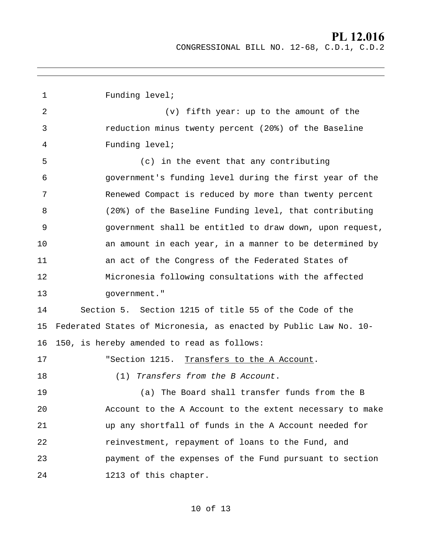1 2 3 4 5 6 7 8 9 10 11 12 13 14 15 16 Funding level; (v) fifth year: up to the amount of the reduction minus twenty percent (20%) of the Baseline Funding level; (c) in the event that any contributing government's funding level during the first year of the Renewed Compact is reduced by more than twenty percent (20%) of the Baseline Funding level, that contributing government shall be entitled to draw down, upon request, an amount in each year, in a manner to be determined by an act of the Congress of the Federated States of Micronesia following consultations with the affected government." Section 5. Section 1215 of title 55 of the Code of the Federated States of Micronesia, as enacted by Public Law No. 10- 150, is hereby amended to read as follows: 17 18 19 20 21 22 23 24 "Section 1215. Transfers to the A Account. (1) Transfers from the B Account. (a) The Board shall transfer funds from the B Account to the A Account to the extent necessary to make up any shortfall of funds in the A Account needed for reinvestment, repayment of loans to the Fund, and payment of the expenses of the Fund pursuant to section 1213 of this chapter.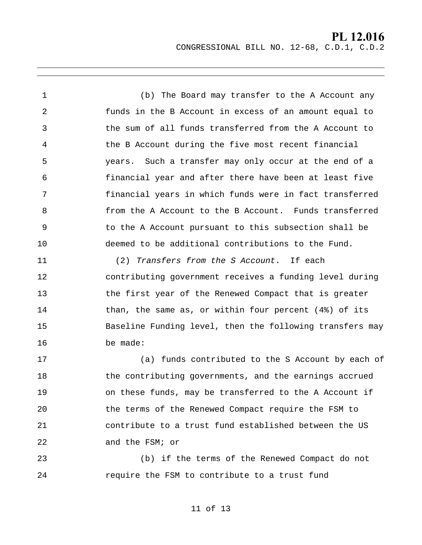1 2 3 4 5 6 7 8 9 10 (b) The Board may transfer to the A Account any funds in the B Account in excess of an amount equal to the sum of all funds transferred from the A Account to the B Account during the five most recent financial years. Such a transfer may only occur at the end of a financial year and after there have been at least five financial years in which funds were in fact transferred from the A Account to the B Account. Funds transferred to the A Account pursuant to this subsection shall be deemed to be additional contributions to the Fund.

11 12 13 14 15 16 (2) Transfers from the S Account. If each contributing government receives a funding level during the first year of the Renewed Compact that is greater than, the same as, or within four percent (4%) of its Baseline Funding level, then the following transfers may be made:

17 18 19 20 21 22 (a) funds contributed to the S Account by each of the contributing governments, and the earnings accrued on these funds, may be transferred to the A Account if the terms of the Renewed Compact require the FSM to contribute to a trust fund established between the US and the FSM; or

23 24 (b) if the terms of the Renewed Compact do not require the FSM to contribute to a trust fund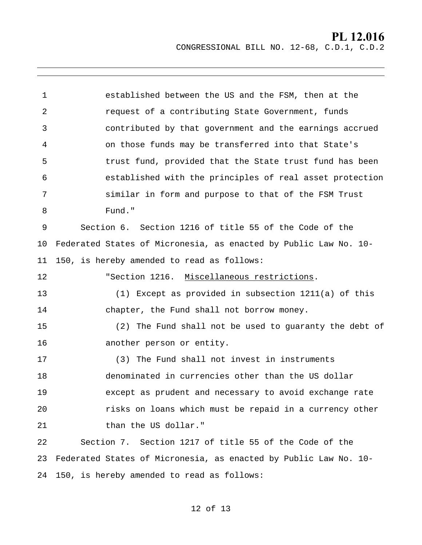1 2 3 4 5 6 7 8 9 10 11 established between the US and the FSM, then at the request of a contributing State Government, funds contributed by that government and the earnings accrued on those funds may be transferred into that State's trust fund, provided that the State trust fund has been established with the principles of real asset protection similar in form and purpose to that of the FSM Trust Fund." Section 6. Section 1216 of title 55 of the Code of the Federated States of Micronesia, as enacted by Public Law No. 10- 150, is hereby amended to read as follows: 12 13 14 15 16 17 18 19 20 21 22 23 24 150, is hereby amended to read as follows: "Section 1216. Miscellaneous restrictions. (1) Except as provided in subsection 1211(a) of this chapter, the Fund shall not borrow money. (2) The Fund shall not be used to guaranty the debt of another person or entity. (3) The Fund shall not invest in instruments denominated in currencies other than the US dollar except as prudent and necessary to avoid exchange rate risks on loans which must be repaid in a currency other than the US dollar." Section 7. Section 1217 of title 55 of the Code of the Federated States of Micronesia, as enacted by Public Law No. 10-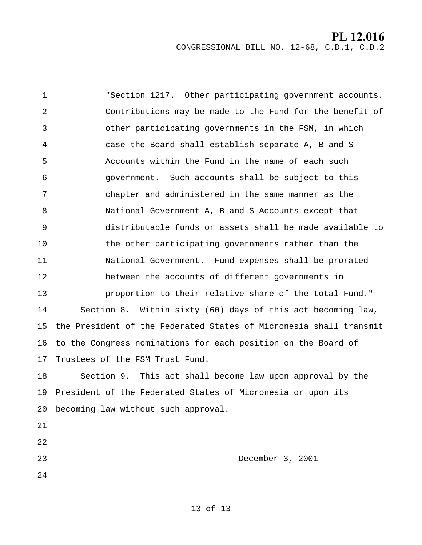1 2 3 4 5 6 7 8 9 10 11 12 13 14 15 16 17 18 19 20 becoming law without such approval. 21 22 "Section 1217. Other participating government accounts. Contributions may be made to the Fund for the benefit of other participating governments in the FSM, in which case the Board shall establish separate A, B and S Accounts within the Fund in the name of each such government. Such accounts shall be subject to this chapter and administered in the same manner as the National Government A, B and S Accounts except that distributable funds or assets shall be made available to the other participating governments rather than the National Government. Fund expenses shall be prorated between the accounts of different governments in proportion to their relative share of the total Fund." Section 8. Within sixty (60) days of this act becoming law, the President of the Federated States of Micronesia shall transmit to the Congress nominations for each position on the Board of Trustees of the FSM Trust Fund. Section 9. This act shall become law upon approval by the President of the Federated States of Micronesia or upon its

23 December 3, 2001

24